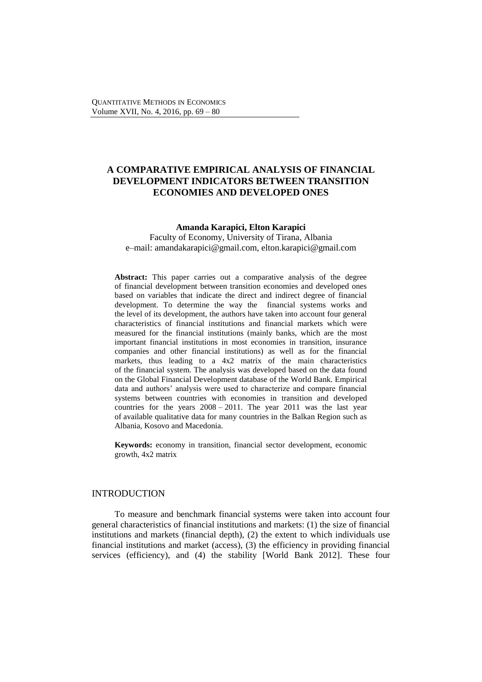# 1 **A COMPARATIVE EMPIRICAL ANALYSIS OF FINANCIAL**  2 **DEVELOPMENT INDICATORS BETWEEN TRANSITION**  3 **ECONOMIES AND DEVELOPED ONES**

#### 4 **Amanda Karapici, Elton Karapici**

5 Faculty of Economy, University of Tirana, Albania 6 e–mail: amandakarapici@gmail.com, elton.karapici@gmail.com

Abstract: This paper carries out a comparative analysis of the degree of financial development between transition economies and developed ones based on variables that indicate the direct and indirect degree of financial development. To determine the way the financial systems works and the level of its development, the authors have taken into account four general 12 characteristics of financial institutions and financial markets which were measured for the financial institutions (mainly banks, which are the most important financial institutions in most economies in transition, insurance companies and other financial institutions) as well as for the financial markets, thus leading to a 4x2 matrix of the main characteristics of the financial system. The analysis was developed based on the data found 18 on the Global Financial Development database of the World Bank. Empirical data and authors' analysis were used to characterize and compare financial systems between countries with economies in transition and developed countries for the years  $2008 - 2011$ . The year 2011 was the last year of available qualitative data for many countries in the Balkan Region such as Albania, Kosovo and Macedonia.

Keywords: economy in transition, financial sector development, economic growth, 4x2 matrix

# **INTRODUCTION**

27 To measure and benchmark financial systems were taken into account four 28 general characteristics of financial institutions and markets: (1) the size of financial institutions and markets (financial depth),  $(2)$  the extent to which individuals use  $S<sub>1</sub>$  financial institutions and market (access), (3) the efficiency in providing financial services (efficiency), and (4) the stability [World Bank 2012]. These four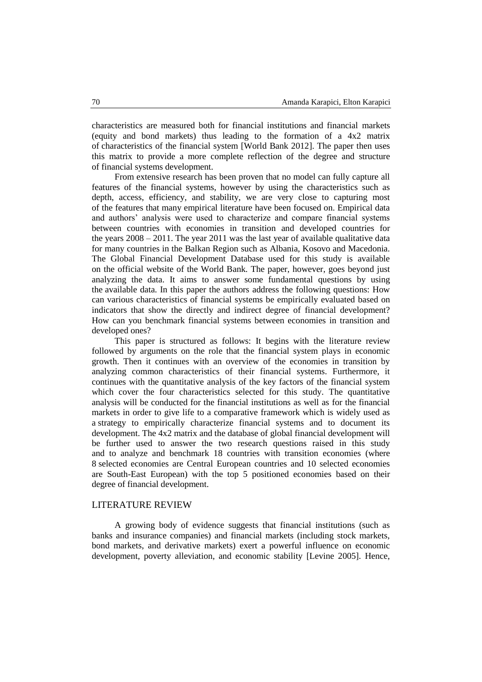1 characteristics are measured both for financial institutions and financial markets (equity and bond markets) thus leading to the formation of a  $4x2$  matrix 3 of characteristics of the financial system [World Bank 2012]. The paper then uses this matrix to provide a more complete reflection of the degree and structure 5 of financial systems development.

From extensive research has been proven that no model can fully capture all 7 features of the financial systems, however by using the characteristics such as depth, access, efficiency, and stability, we are very close to capturing most of the features that many empirical literature have been focused on. Empirical data and authors' analysis were used to characterize and compare financial systems between countries with economies in transition and developed countries for the years  $2008 - 2011$ . The year 2011 was the last year of available qualitative data for many countries in the Balkan Region such as Albania, Kosovo and Macedonia. The Global Financial Development Database used for this study is available on the official website of the World Bank. The paper, however, goes beyond just analyzing the data. It aims to answer some fundamental questions by using the available data. In this paper the authors address the following questions: How can various characteristics of financial systems be empirically evaluated based on indicators that show the directly and indirect degree of financial development? How can you benchmark financial systems between economies in transition and developed ones?

This paper is structured as follows: It begins with the literature review 23 followed by arguments on the role that the financial system plays in economic growth. Then it continues with an overview of the economies in transition by 25 analyzing common characteristics of their financial systems. Furthermore, it 26 continues with the quantitative analysis of the key factors of the financial system which cover the four characteristics selected for this study. The quantitative 28 analysis will be conducted for the financial institutions as well as for the financial markets in order to give life to a comparative framework which is widely used as a strategy to empirically characterize financial systems and to document its development. The 4x2 matrix and the database of global financial development will 32 be further used to answer the two research questions raised in this study and to analyze and benchmark 18 countries with transition economies (where 34 8 selected economies are Central European countries and 10 selected economies are South-East European) with the top 5 positioned economies based on their degree of financial development.

### LITERATURE REVIEW

38 A growing body of evidence suggests that financial institutions (such as banks and insurance companies) and financial markets (including stock markets, 40 bond markets, and derivative markets) exert a powerful influence on economic development, poverty alleviation, and economic stability [Levine 2005]. Hence,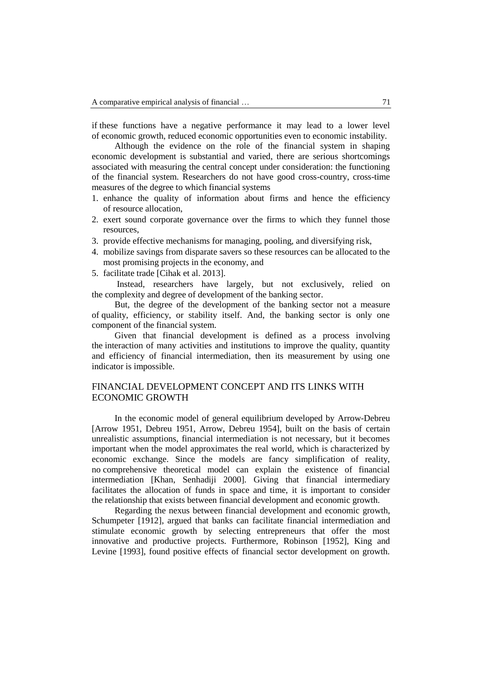if these functions have a negative performance it may lead to a lower level 2 of economic growth, reduced economic opportunities even to economic instability.

3 Although the evidence on the role of the financial system in shaping economic development is substantial and varied, there are serious shortcomings associated with measuring the central concept under consideration: the functioning 6 of the financial system. Researchers do not have good cross-country, cross-time measures of the degree to which financial systems

- 1. enhance the quality of information about firms and hence the efficiency of resource allocation,
- 2. exert sound corporate governance over the firms to which they funnel those resources,
	- 12 3. provide effective mechanisms for managing, pooling, and diversifying risk,
	- 13 4. mobilize savings from disparate savers so these resources can be allocated to the most promising projects in the economy, and
	- 15 5. facilitate trade [Cihak et al. 2013].

Instead, researchers have largely, but not exclusively, relied on the complexity and degree of development of the banking sector.

But, the degree of the development of the banking sector not a measure of quality, efficiency, or stability itself. And, the banking sector is only one component of the financial system.

Given that financial development is defined as a process involving 22 the interaction of many activities and institutions to improve the quality, quantity and efficiency of financial intermediation, then its measurement by using one indicator is impossible.

# 25 FINANCIAL DEVELOPMENT CONCEPT AND ITS LINKS WITH ECONOMIC GROWTH

In the economic model of general equilibrium developed by Arrow-Debreu [Arrow 1951, Debreu 1951, Arrow, Debreu 1954], built on the basis of certain unrealistic assumptions, financial intermediation is not necessary, but it becomes important when the model approximates the real world, which is characterized by economic exchange. Since the models are fancy simplification of reality, 32 no comprehensive theoretical model can explain the existence of financial intermediation [Khan, Senhadiji 2000]. Giving that financial intermediary facilitates the allocation of funds in space and time, it is important to consider the relationship that exists between financial development and economic growth.

Regarding the nexus between financial development and economic growth, Schumpeter [1912], argued that banks can facilitate financial intermediation and stimulate economic growth by selecting entrepreneurs that offer the most innovative and productive projects. Furthermore, Robinson [1952], King and Levine [1993], found positive effects of financial sector development on growth.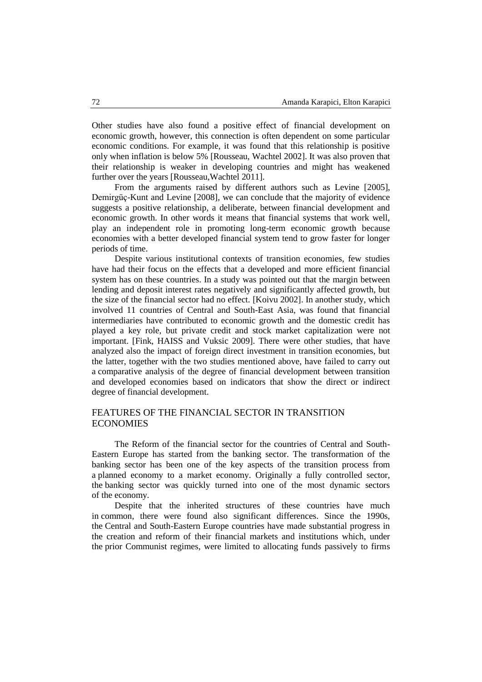Other studies have also found a positive effect of financial development on economic growth, however, this connection is often dependent on some particular 3 economic conditions. For example, it was found that this relationship is positive only when inflation is below 5% [Rousseau, Wachtel 2002]. It was also proven that 5 their relationship is weaker in developing countries and might has weakened further over the years [Rousseau, Wachtel 2011].

From the arguments raised by different authors such as Levine [2005], 8 Demirgüç-Kunt and Levine [2008], we can conclude that the majority of evidence suggests a positive relationship, a deliberate, between financial development and economic growth. In other words it means that financial systems that work well, 11 play an independent role in promoting long-term economic growth because 12 economies with a better developed financial system tend to grow faster for longer periods of time.

Despite various institutional contexts of transition economies, few studies have had their focus on the effects that a developed and more efficient financial system has on these countries. In a study was pointed out that the margin between lending and deposit interest rates negatively and significantly affected growth, but the size of the financial sector had no effect. [Koivu 2002]. In another study, which involved 11 countries of Central and South-East Asia, was found that financial intermediaries have contributed to economic growth and the domestic credit has 21 played a key role, but private credit and stock market capitalization were not important. [Fink, HAISS and Vuksic 2009]. There were other studies, that have analyzed also the impact of foreign direct investment in transition economies, but the latter, together with the two studies mentioned above, have failed to carry out a comparative analysis of the degree of financial development between transition and developed economies based on indicators that show the direct or indirect degree of financial development.

# FEATURES OF THE FINANCIAL SECTOR IN TRANSITION **ECONOMIES**

The Reform of the financial sector for the countries of Central and South-Eastern Europe has started from the banking sector. The transformation of the banking sector has been one of the key aspects of the transition process from a planned economy to a market economy. Originally a fully controlled sector, the banking sector was quickly turned into one of the most dynamic sectors of the economy.

Despite that the inherited structures of these countries have much in common, there were found also significant differences. Since the 1990s, the Central and South-Eastern Europe countries have made substantial progress in the creation and reform of their financial markets and institutions which, under the prior Communist regimes, were limited to allocating funds passively to firms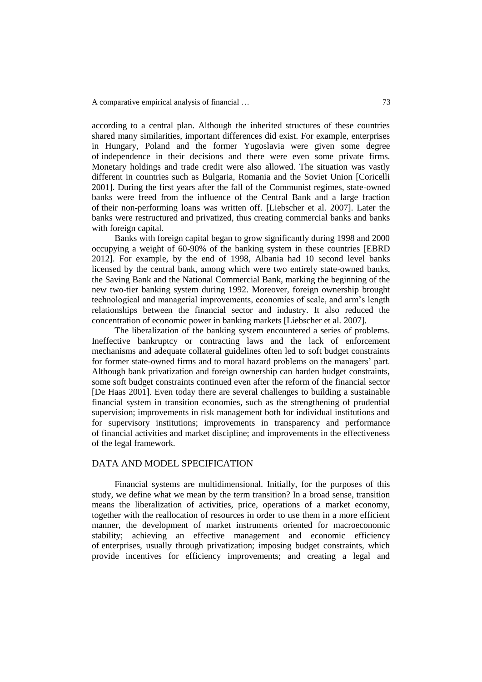1 according to a central plan. Although the inherited structures of these countries shared many similarities, important differences did exist. For example, enterprises in Hungary, Poland and the former Yugoslavia were given some degree of independence in their decisions and there were even some private firms. 5 Monetary holdings and trade credit were also allowed. The situation was vastly 6 different in countries such as Bulgaria, Romania and the Soviet Union [Coricelli 7 2001]. During the first years after the fall of the Communist regimes, state-owned 8 banks were freed from the influence of the Central Bank and a large fraction of their non-performing loans was written off. [Liebscher et al. 2007]. Later the 10 banks were restructured and privatized, thus creating commercial banks and banks with foreign capital.

12 Banks with foreign capital began to grow significantly during 1998 and 2000 occupying a weight of 60-90% of the banking system in these countries [EBRD 2012]. For example, by the end of 1998, Albania had 10 second level banks licensed by the central bank, among which were two entirely state-owned banks, 16 the Saving Bank and the National Commercial Bank, marking the beginning of the 17 new two-tier banking system during 1992. Moreover, foreign ownership brought technological and managerial improvements, economies of scale, and arm's length 19 relationships between the financial sector and industry. It also reduced the 20 concentration of economic power in banking markets [Liebscher et al. 2007].

The liberalization of the banking system encountered a series of problems. Ineffective bankruptcy or contracting laws and the lack of enforcement mechanisms and adequate collateral guidelines often led to soft budget constraints 24 for former state-owned firms and to moral hazard problems on the managers' part. Although bank privatization and foreign ownership can harden budget constraints, 26 some soft budget constraints continued even after the reform of the financial sector [De Haas 2001]. Even today there are several challenges to building a sustainable financial system in transition economies, such as the strengthening of prudential supervision; improvements in risk management both for individual institutions and 30 for supervisory institutions; improvements in transparency and performance 31 of financial activities and market discipline; and improvements in the effectiveness of the legal framework.

## DATA AND MODEL SPECIFICATION

34 Financial systems are multidimensional. Initially, for the purposes of this study, we define what we mean by the term transition? In a broad sense, transition means the liberalization of activities, price, operations of a market economy, together with the reallocation of resources in order to use them in a more efficient manner, the development of market instruments oriented for macroeconomic stability; achieving an effective management and economic efficiency 40 of enterprises, usually through privatization; imposing budget constraints, which provide incentives for efficiency improvements; and creating a legal and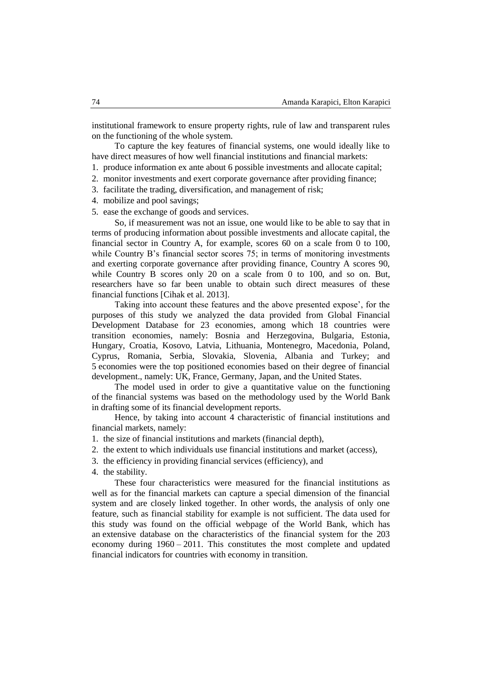institutional framework to ensure property rights, rule of law and transparent rules on the functioning of the whole system.

3 To capture the key features of financial systems, one would ideally like to have direct measures of how well financial institutions and financial markets:

- 5 1. produce information ex ante about 6 possible investments and allocate capital;
- 2. monitor investments and exert corporate governance after providing finance;
- 7 3. facilitate the trading, diversification, and management of risk;
- 4. mobilize and pool savings;
- 5. ease the exchange of goods and services.

10 So, if measurement was not an issue, one would like to be able to say that in terms of producing information about possible investments and allocate capital, the financial sector in Country A, for example, scores 60 on a scale from  $\overline{0}$  to 100, while Country B's financial sector scores  $75$ ; in terms of monitoring investments and exerting corporate governance after providing finance, Country A scores 90, while Country B scores only 20 on a scale from 0 to 100, and so on. But, researchers have so far been unable to obtain such direct measures of these financial functions [Cihak et al. 2013].

Taking into account these features and the above presented expose', for the purposes of this study we analyzed the data provided from Global Financial Development Database for 23 economies, among which 18 countries were transition economies, namely: Bosnia and Herzegovina, Bulgaria, Estonia, Hungary, Croatia, Kosovo, Latvia, Lithuania, Montenegro, Macedonia, Poland, Cyprus, Romania, Serbia, Slovakia, Slovenia, Albania and Turkey; and 5 economies were the top positioned economies based on their degree of financial development., namely: UK, France, Germany, Japan, and the United States.

The model used in order to give a quantitative value on the functioning 27 of the financial systems was based on the methodology used by the World Bank in drafting some of its financial development reports.

Hence, by taking into account 4 characteristic of financial institutions and financial markets, namely:

- 31 1. the size of financial institutions and markets (financial depth),
- 32 2. the extent to which individuals use financial institutions and market (access),
- 33 3. the efficiency in providing financial services (efficiency), and
- 4. the stability.

These four characteristics were measured for the financial institutions as well as for the financial markets can capture a special dimension of the financial system and are closely linked together. In other words, the analysis of only one feature, such as financial stability for example is not sufficient. The data used for this study was found on the official webpage of the World Bank, which has an extensive database on the characteristics of the financial system for the 203 economy during  $1960 - 2011$ . This constitutes the most complete and updated financial indicators for countries with economy in transition.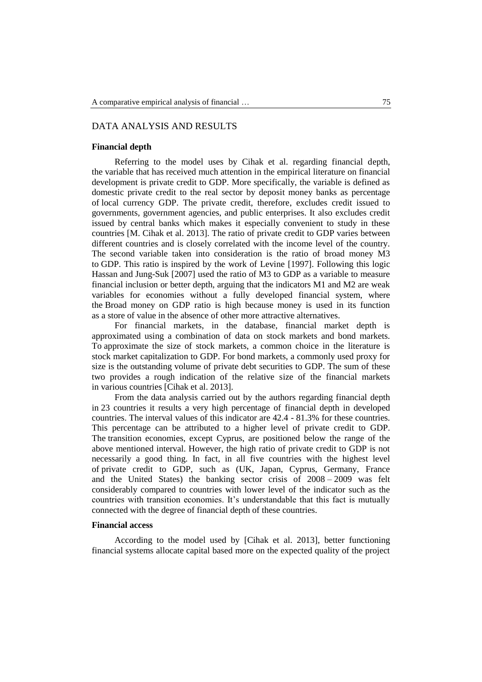# 1 DATA ANALYSIS AND RESULTS

#### 2 **Financial depth**

Referring to the model uses by Cihak et al. regarding financial depth, the variable that has received much attention in the empirical literature on financial 5 development is private credit to GDP. More specifically, the variable is defined as domestic private credit to the real sector by deposit money banks as percentage 7 of local currency GDP. The private credit, therefore, excludes credit issued to 8 governments, government agencies, and public enterprises. It also excludes credit issued by central banks which makes it especially convenient to study in these countries [M. Cihak et al. 2013]. The ratio of private credit to GDP varies between different countries and is closely correlated with the income level of the country. The second variable taken into consideration is the ratio of broad money M3 13 to GDP. This ratio is inspired by the work of Levine [1997]. Following this logic Hassan and Jung-Suk [2007] used the ratio of M3 to GDP as a variable to measure financial inclusion or better depth, arguing that the indicators M1 and M2 are weak variables for economies without a fully developed financial system, where 17 the Broad money on GDP ratio is high because money is used in its function as a store of value in the absence of other more attractive alternatives.

19 For financial markets, in the database, financial market depth is approximated using a combination of data on stock markets and bond markets. 21 To approximate the size of stock markets, a common choice in the literature is 22 stock market capitalization to GDP. For bond markets, a commonly used proxy for size is the outstanding volume of private debt securities to GDP. The sum of these two provides a rough indication of the relative size of the financial markets in various countries [Cihak et al. 2013].

26 From the data analysis carried out by the authors regarding financial depth 27 in 23 countries it results a very high percentage of financial depth in developed countries. The interval values of this indicator are 42.4 - 81.3% for these countries. This percentage can be attributed to a higher level of private credit to GDP. The transition economies, except Cyprus, are positioned below the range of the above mentioned interval. However, the high ratio of private credit to GDP is not 32 necessarily a good thing. In fact, in all five countries with the highest level 33 of private credit to GDP, such as (UK, Japan, Cyprus, Germany, France and the United States) the banking sector crisis of  $2008 - 2009$  was felt considerably compared to countries with lower level of the indicator such as the countries with transition economies. It's understandable that this fact is mutually 37 connected with the degree of financial depth of these countries.

#### 38 **Financial access**

39 According to the model used by [Cihak et al. 2013], better functioning 40 financial systems allocate capital based more on the expected quality of the project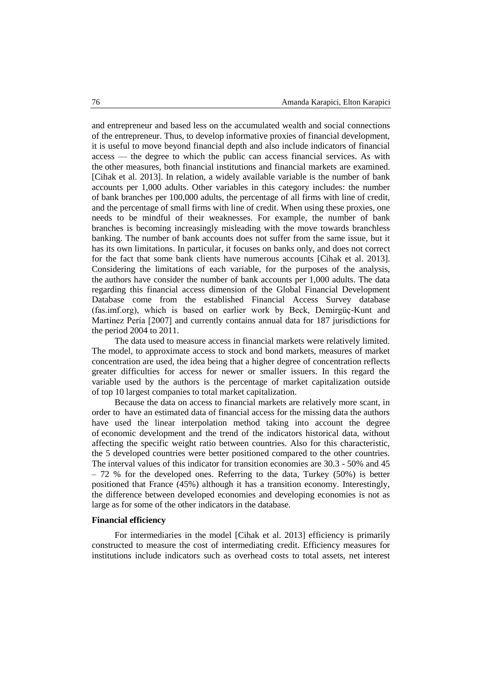1 and entrepreneur and based less on the accumulated wealth and social connections 2 of the entrepreneur. Thus, to develop informative proxies of financial development, it is useful to move beyond financial depth and also include indicators of financial access — the degree to which the public can access financial services. As with 5 the other measures, both financial institutions and financial markets are examined. [Cihak et al. 2013]. In relation, a widely available variable is the number of bank accounts per 1,000 adults. Other variables in this category includes: the number of bank branches per 100,000 adults, the percentage of all firms with line of credit, and the percentage of small firms with line of credit. When using these proxies, one needs to be mindful of their weaknesses. For example, the number of bank branches is becoming increasingly misleading with the move towards branchless banking. The number of bank accounts does not suffer from the same issue, but it has its own limitations. In particular, it focuses on banks only, and does not correct for the fact that some bank clients have numerous accounts [Cihak et al. 2013]. Considering the limitations of each variable, for the purposes of the analysis, 16 the authors have consider the number of bank accounts per 1,000 adults. The data 17 regarding this financial access dimension of the Global Financial Development Database come from the established Financial Access Survey database (fas.imf.org), which is based on earlier work by Beck, Demirgüç-Kunt and 20 Martínez Pería [2007] and currently contains annual data for 187 jurisdictions for the period  $2004$  to  $2011$ .

The data used to measure access in financial markets were relatively limited. The model, to approximate access to stock and bond markets, measures of market concentration are used, the idea being that a higher degree of concentration reflects greater difficulties for access for newer or smaller issuers. In this regard the variable used by the authors is the percentage of market capitalization outside 27 of top 10 largest companies to total market capitalization.

Because the data on access to financial markets are relatively more scant, in 29 order to have an estimated data of financial access for the missing data the authors have used the linear interpolation method taking into account the degree 31 of economic development and the trend of the indicators historical data, without affecting the specific weight ratio between countries. Also for this characteristic, the 5 developed countries were better positioned compared to the other countries. The interval values of this indicator for transition economies are 30.3 - 50% and 45  $-72$  % for the developed ones. Referring to the data, Turkey (50%) is better 36 positioned that France (45%) although it has a transition economy. Interestingly, the difference between developed economies and developing economies is not as large as for some of the other indicators in the database.

## 39 **Financial efficiency**

40 For intermediaries in the model [Cihak et al. 2013] efficiency is primarily 41 constructed to measure the cost of intermediating credit. Efficiency measures for institutions include indicators such as overhead costs to total assets, net interest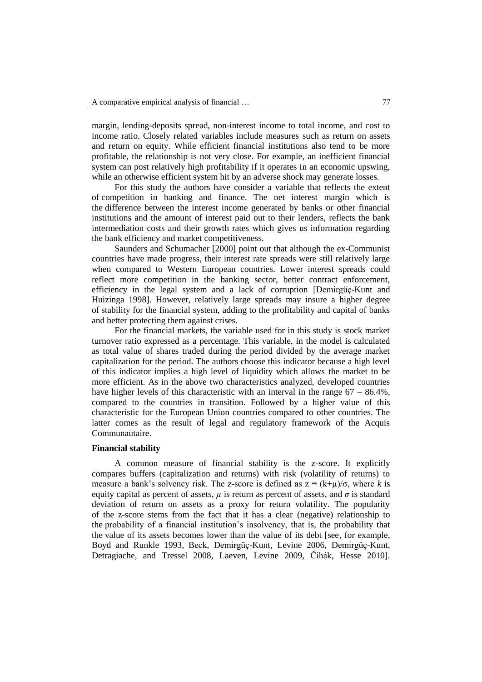margin, lending-deposits spread, non-interest income to total income, and cost to income ratio. Closely related variables include measures such as return on assets and return on equity. While efficient financial institutions also tend to be more 4 profitable, the relationship is not very close. For example, an inefficient financial system can post relatively high profitability if it operates in an economic upswing, while an otherwise efficient system hit by an adverse shock may generate losses.

7 For this study the authors have consider a variable that reflects the extent 8 of competition in banking and finance. The net interest margin which is the difference between the interest income generated by banks or other financial institutions and the amount of interest paid out to their lenders, reflects the bank intermediation costs and their growth rates which gives us information regarding the bank efficiency and market competitiveness.

Saunders and Schumacher [2000] point out that although the ex-Communist countries have made progress, their interest rate spreads were still relatively large when compared to Western European countries. Lower interest spreads could 16 reflect more competition in the banking sector, better contract enforcement, 17 efficiency in the legal system and a lack of corruption [Demirgüç-Kunt and 18 Huizinga 1998]. However, relatively large spreads may insure a higher degree 19 of stability for the financial system, adding to the profitability and capital of banks and better protecting them against crises.

21 For the financial markets, the variable used for in this study is stock market turnover ratio expressed as a percentage. This variable, in the model is calculated 23 as total value of shares traded during the period divided by the average market 24 capitalization for the period. The authors choose this indicator because a high level 25 of this indicator implies a high level of liquidity which allows the market to be 26 more efficient. As in the above two characteristics analyzed, developed countries have higher levels of this characteristic with an interval in the range  $67 - 86.4\%$ , compared to the countries in transition. Followed by a higher value of this 29 characteristic for the European Union countries compared to other countries. The latter comes as the result of legal and regulatory framework of the Acquis Communautaire.

## 32 **Financial stability**

33 A common measure of financial stability is the z-score. It explicitly compares buffers (capitalization and returns) with risk (volatility of returns) to measure a bank's solvency risk. The z-score is defined as  $z = (k+\mu)/\sigma$ , where *k* is equity capital as percent of assets,  $\mu$  is return as percent of assets, and  $\sigma$  is standard deviation of return on assets as a proxy for return volatility. The popularity 38 of the z-score stems from the fact that it has a clear (negative) relationship to 39 the probability of a financial institution's insolvency, that is, the probability that the value of its assets becomes lower than the value of its debt [see, for example, 41 Boyd and Runkle 1993, Beck, Demirgüç-Kunt, Levine 2006, Demirgüç-Kunt, 42 Detragiache, and Tressel 2008, Laeven, Levine 2009, Čihák, Hesse 2010].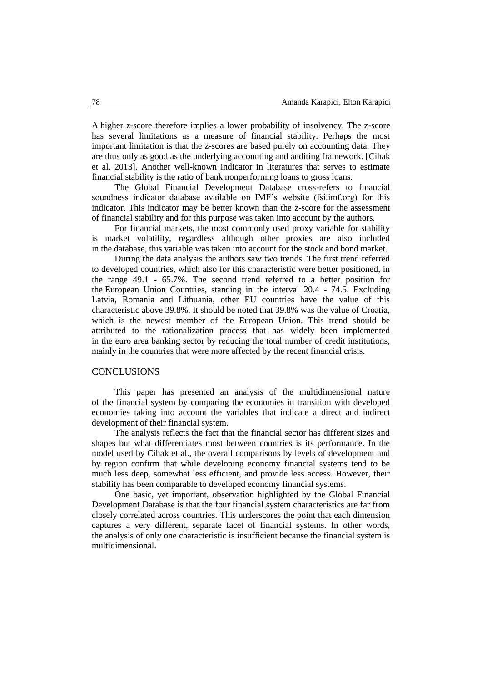1 A higher z-score therefore implies a lower probability of insolvency. The z-score has several limitations as a measure of financial stability. Perhaps the most important limitation is that the z-scores are based purely on accounting data. They are thus only as good as the underlying accounting and auditing framework. [Cihak] 5 et al. 2013]. Another well-known indicator in literatures that serves to estimate financial stability is the ratio of bank nonperforming loans to gross loans.

7 The Global Financial Development Database cross-refers to financial soundness indicator database available on IMF's website (fsi.imf.org) for this indicator. This indicator may be better known than the z-score for the assessment of financial stability and for this purpose was taken into account by the authors.

11 For financial markets, the most commonly used proxy variable for stability is market volatility, regardless although other proxies are also included in the database, this variable was taken into account for the stock and bond market.

During the data analysis the authors saw two trends. The first trend referred to developed countries, which also for this characteristic were better positioned, in the range  $49.1$  -  $65.7\%$ . The second trend referred to a better position for 17 the European Union Countries, standing in the interval 20.4 - 74.5. Excluding Latvia, Romania and Lithuania, other EU countries have the value of this 19 characteristic above 39.8%. It should be noted that 39.8% was the value of Croatia, which is the newest member of the European Union. This trend should be attributed to the rationalization process that has widely been implemented in the euro area banking sector by reducing the total number of credit institutions, mainly in the countries that were more affected by the recent financial crisis.

## **CONCLUSIONS**

 This paper has presented an analysis of the multidimensional nature of the financial system by comparing the economies in transition with developed economies taking into account the variables that indicate a direct and indirect development of their financial system.

The analysis reflects the fact that the financial sector has different sizes and shapes but what differentiates most between countries is its performance. In the model used by Cihak et al., the overall comparisons by levels of development and by region confirm that while developing economy financial systems tend to be much less deep, somewhat less efficient, and provide less access. However, their stability has been comparable to developed economy financial systems.

35 One basic, yet important, observation highlighted by the Global Financial Development Database is that the four financial system characteristics are far from 37 closely correlated across countries. This underscores the point that each dimension captures a very different, separate facet of financial systems. In other words, 39 the analysis of only one characteristic is insufficient because the financial system is multidimensional.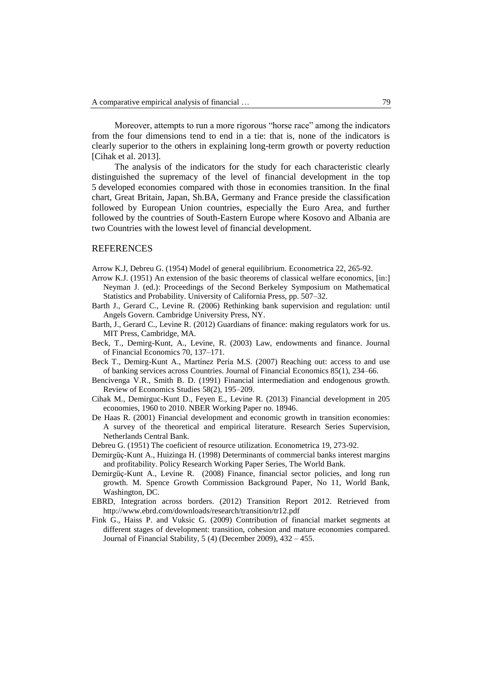Moreover, attempts to run a more rigorous "horse race" among the indicators 2 from the four dimensions tend to end in a tie: that is, none of the indicators is 3 clearly superior to the others in explaining long-term growth or poverty reduction [Cihak et al. 2013].

 The analysis of the indicators for the study for each characteristic clearly distinguished the supremacy of the level of financial development in the top 5 developed economies compared with those in economies transition. In the final chart, Great Britain, Japan, Sh.BA, Germany and France preside the classification followed by European Union countries, especially the Euro Area, and further followed by the countries of South-Eastern Europe where Kosovo and Albania are two Countries with the lowest level of financial development.

### **REFERENCES**

- Arrow K.J, Debreu G. (1954) Model of general equilibrium. Econometrica 22, 265-92.
- Arrow K.J. (1951) An extension of the basic theorems of classical welfare economics, [in:] 15 Neyman J. (ed.): Proceedings of the Second Berkeley Symposium on Mathematical Statistics and Probability. University of California Press, pp. 507-32.
- Barth J., Gerard C., Levine R. (2006) Rethinking bank supervision and regulation: until Angels Govern. Cambridge University Press, NY.
- Barth, J., Gerard C., Levine R. (2012) Guardians of finance: making regulators work for us. MIT Press, Cambridge, MA.
- Beck, T., Demirg-Kunt, A., Levine, R. (2003) Law, endowments and finance. Journal of Financial Economics 70, 137–171.
- Beck T., Demirg-Kunt A., Martínez Pería M.S. (2007) Reaching out: access to and use 24 of banking services across Countries. Journal of Financial Economics 85(1), 234–66.
- Bencivenga V.R., Smith B. D. (1991) Financial intermediation and endogenous growth. Review of Economics Studies 58(2), 195–209.
- 27 Cihak M., Demirguc-Kunt D., Feyen E., Levine R. (2013) Financial development in 205 economies, 1960 to 2010. NBER Working Paper no. 18946.
- De Haas R. (2001) Financial development and economic growth in transition economies: 30 A survey of the theoretical and empirical literature. Research Series Supervision, Netherlands Central Bank.
- Debreu G. (1951) The coeficient of resource utilization. Econometrica 19, 273-92.
- 33 Demirgüç-Kunt A., Huizinga H. (1998) Determinants of commercial banks interest margins and profitability. Policy Research Working Paper Series, The World Bank.
- 35 Demirgüç-Kunt A., Levine R. (2008) Finance, financial sector policies, and long run growth. M. Spence Growth Commission Background Paper, No 11, World Bank, Washington, DC.
- EBRD, Integration across borders. (2012) Transition Report 2012. Retrieved from 39 http://www.ebrd.com/downloads/research/transition/tr12.pdf
- 40 Fink G., Haiss P. and Vuksic G. (2009) Contribution of financial market segments at different stages of development: transition, cohesion and mature economies compared. Journal of Financial Stability,  $5(4)$  (December 2009),  $432 - 455$ .